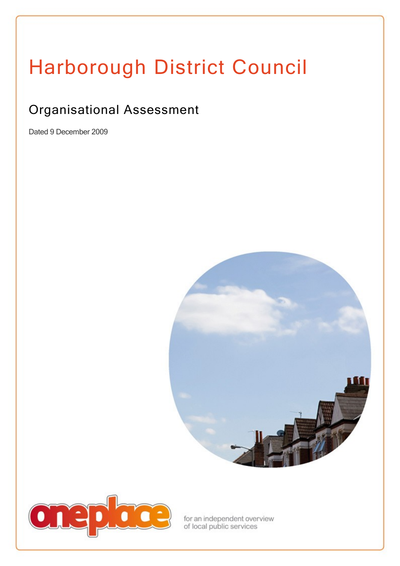# Harborough District Council

# Organisational Assessment

Dated 9 December 2009





for an independent overview<br>of local public services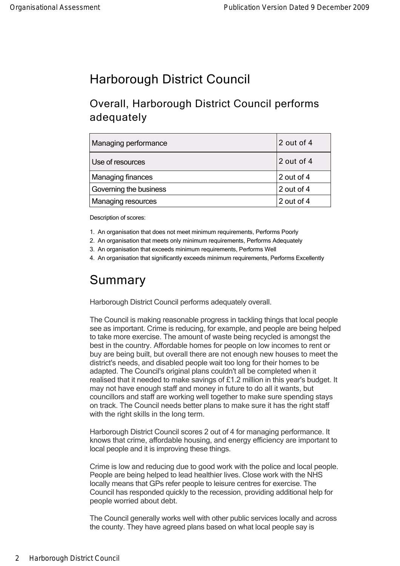## Harborough District Council

### Overall, Harborough District Council performs adequately

| Managing performance   | 2 out of 4             |
|------------------------|------------------------|
| Use of resources       | 2 out of 4             |
| Managing finances      | $\frac{1}{2}$ out of 4 |
| Governing the business | $\frac{1}{2}$ out of 4 |
| Managing resources     | 2 out of 4             |

Description of scores:

1. An organisation that does not meet minimum requirements, Performs Poorly

2. An organisation that meets only minimum requirements, Performs Adequately

3. An organisation that exceeds minimum requirements, Performs Well

4. An organisation that significantly exceeds minimum requirements, Performs Excellently

## Summary

Harborough District Council performs adequately overall.

The Council is making reasonable progress in tackling things that local people see as important. Crime is reducing, for example, and people are being helped to take more exercise. The amount of waste being recycled is amongst the best in the country. Affordable homes for people on low incomes to rent or buy are being built, but overall there are not enough new houses to meet the district's needs, and disabled people wait too long for their homes to be adapted. The Council's original plans couldn't all be completed when it realised that it needed to make savings of £1.2 million in this year's budget. It may not have enough staff and money in future to do all it wants, but councillors and staff are working well together to make sure spending stays on track. The Council needs better plans to make sure it has the right staff with the right skills in the long term.

Harborough District Council scores 2 out of 4 for managing performance. It knows that crime, affordable housing, and energy efficiency are important to local people and it is improving these things.

Crime is low and reducing due to good work with the police and local people. People are being helped to lead healthier lives. Close work with the NHS locally means that GPs refer people to leisure centres for exercise. The Council has responded quickly to the recession, providing additional help for people worried about debt.

The Council generally works well with other public services locally and across the county. They have agreed plans based on what local people say is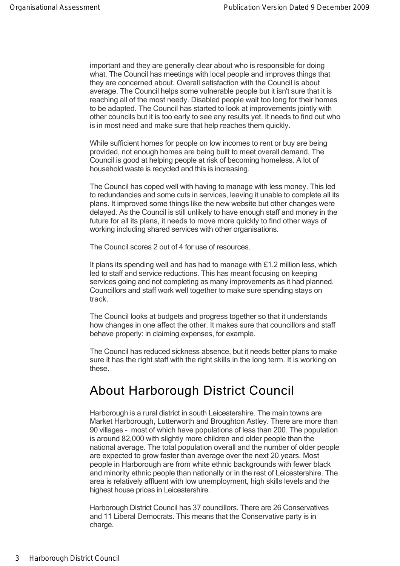important and they are generally clear about who is responsible for doing what. The Council has meetings with local people and improves things that they are concerned about. Overall satisfaction with the Council is about average. The Council helps some vulnerable people but it isn't sure that it is reaching all of the most needy. Disabled people wait too long for their homes to be adapted. The Council has started to look at improvements jointly with other councils but it is too early to see any results yet. It needs to find out who is in most need and make sure that help reaches them quickly.

the county. They have agreed plans based on what local people say is

While sufficient homes for people on low incomes to rent or buy are being provided, not enough homes are being built to meet overall demand. The Council is good at helping people at risk of becoming homeless. A lot of household waste is recycled and this is increasing.

The Council has coped well with having to manage with less money. This led to redundancies and some cuts in services, leaving it unable to complete all its plans. It improved some things like the new website but other changes were delayed. As the Council is still unlikely to have enough staff and money in the future for all its plans, it needs to move more quickly to find other ways of working including shared services with other organisations.

The Council scores 2 out of 4 for use of resources.

It plans its spending well and has had to manage with £1.2 million less, which led to staff and service reductions. This has meant focusing on keeping services going and not completing as many improvements as it had planned. Councillors and staff work well together to make sure spending stays on track.

The Council looks at budgets and progress together so that it understands how changes in one affect the other. It makes sure that councillors and staff behave properly: in claiming expenses, for example.

The Council has reduced sickness absence, but it needs better plans to make sure it has the right staff with the right skills in the long term. It is working on these.

## About Harborough District Council

Harborough is a rural district in south Leicestershire. The main towns are Market Harborough, Lutterworth and Broughton Astley. There are more than 90 villages – most of which have populations of less than 200. The population is around 82,000 with slightly more children and older people than the national average. The total population overall and the number of older people are expected to grow faster than average over the next 20 years. Most people in Harborough are from white ethnic backgrounds with fewer black and minority ethnic people than nationally or in the rest of Leicestershire. The area is relatively affluent with low unemployment, high skills levels and the highest house prices in Leicestershire.

Harborough District Council has 37 councillors. There are 26 Conservatives and 11 Liberal Democrats. This means that the Conservative party is in charge.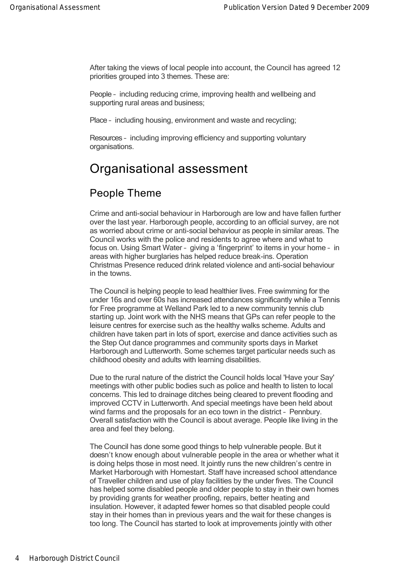After taking the views of local people into account, the Council has agreed 12 priorities grouped into 3 themes. These are:

People – including reducing crime, improving health and wellbeing and supporting rural areas and business;

Place – including housing, environment and waste and recycling;

Resources – including improving efficiency and supporting voluntary organisations.

## Organisational assessment

#### People Theme

Crime and anti-social behaviour in Harborough are low and have fallen further over the last year. Harborough people, according to an official survey, are not as worried about crime or anti-social behaviour as people in similar areas. The Council works with the police and residents to agree where and what to focus on. Using Smart Water – giving a 'fingerprint' to items in your home – in areas with higher burglaries has helped reduce break-ins. Operation Christmas Presence reduced drink related violence and anti-social behaviour in the towns.

The Council is helping people to lead healthier lives. Free swimming for the under 16s and over 60s has increased attendances significantly while a Tennis for Free programme at Welland Park led to a new community tennis club starting up. Joint work with the NHS means that GPs can refer people to the leisure centres for exercise such as the healthy walks scheme. Adults and children have taken part in lots of sport, exercise and dance activities such as the Step Out dance programmes and community sports days in Market Harborough and Lutterworth. Some schemes target particular needs such as childhood obesity and adults with learning disabilities.

Due to the rural nature of the district the Council holds local 'Have your Say' meetings with other public bodies such as police and health to listen to local concerns. This led to drainage ditches being cleared to prevent flooding and improved CCTV in Lutterworth. And special meetings have been held about wind farms and the proposals for an eco town in the district – Pennbury. Overall satisfaction with the Council is about average. People like living in the area and feel they belong.

The Council has done some good things to help vulnerable people. But it doesn't know enough about vulnerable people in the area or whether what it is doing helps those in most need. It jointly runs the new children's centre in Market Harborough with Homestart. Staff have increased school attendance of Traveller children and use of play facilities by the under fives. The Council has helped some disabled people and older people to stay in their own homes by providing grants for weather proofing, repairs, better heating and insulation. However, it adapted fewer homes so that disabled people could stay in their homes than in previous years and the wait for these changes is too long. The Council has started to look at improvements jointly with other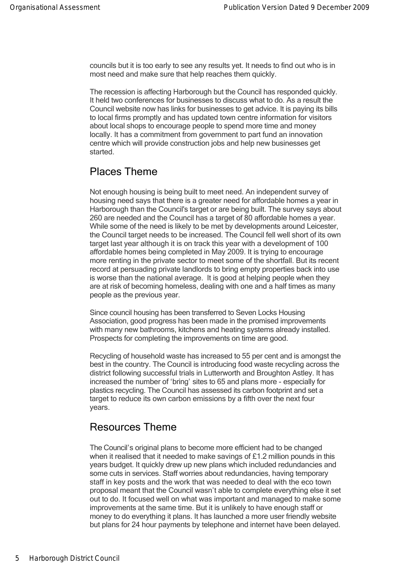too long. The Council has started to look at improvements jointly with other councils but it is too early to see any results yet. It needs to find out who is in most need and make sure that help reaches them quickly.

The recession is affecting Harborough but the Council has responded quickly. It held two conferences for businesses to discuss what to do. As a result the Council website now has links for businesses to get advice. It is paying its bills to local firms promptly and has updated town centre information for visitors about local shops to encourage people to spend more time and money locally. It has a commitment from government to part fund an innovation centre which will provide construction jobs and help new businesses get started.

#### Places Theme

Not enough housing is being built to meet need. An independent survey of housing need says that there is a greater need for affordable homes a year in Harborough than the Council's target or are being built. The survey says about 260 are needed and the Council has a target of 80 affordable homes a year. While some of the need is likely to be met by developments around Leicester. the Council target needs to be increased. The Council fell well short of its own target last year although it is on track this year with a development of 100 affordable homes being completed in May 2009. It is trying to encourage more renting in the private sector to meet some of the shortfall. But its recent record at persuading private landlords to bring empty properties back into use is worse than the national average. It is good at helping people when they are at risk of becoming homeless, dealing with one and a half times as many people as the previous year.

Since council housing has been transferred to Seven Locks Housing Association, good progress has been made in the promised improvements with many new bathrooms, kitchens and heating systems already installed. Prospects for completing the improvements on time are good.

Recycling of household waste has increased to 55 per cent and is amongst the best in the country. The Council is introducing food waste recycling across the district following successful trials in Lutterworth and Broughton Astley. It has increased the number of 'bring' sites to 65 and plans more especially for plastics recycling. The Council has assessed its carbon footprint and set a target to reduce its own carbon emissions by a fifth over the next four years.

#### Resources Theme

The Council's original plans to become more efficient had to be changed when it realised that it needed to make savings of £1.2 million pounds in this years budget. It quickly drew up new plans which included redundancies and some cuts in services. Staff worries about redundancies, having temporary staff in key posts and the work that was needed to deal with the eco town proposal meant that the Council wasn't able to complete everything else it set out to do. It focused well on what was important and managed to make some improvements at the same time. But it is unlikely to have enough staff or money to do everything it plans. It has launched a more user friendly website but plans for 24 hour payments by telephone and internet have been delayed.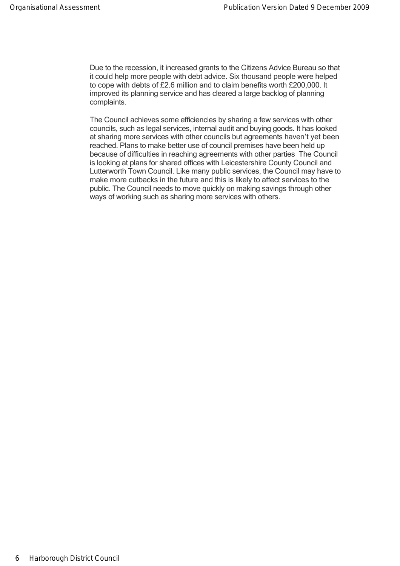Due to the recession, it increased grants to the Citizens Advice Bureau so that it could help more people with debt advice. Six thousand people were helped to cope with debts of £2.6 million and to claim benefits worth £200,000. It improved its planning service and has cleared a large backlog of planning complaints.

The Council achieves some efficiencies by sharing a few services with other councils, such as legal services, internal audit and buying goods. It has looked at sharing more services with other councils but agreements haven't yet been reached. Plans to make better use of council premises have been held up because of difficulties in reaching agreements with other parties The Council is looking at plans for shared offices with Leicestershire County Council and Lutterworth Town Council. Like many public services, the Council may have to make more cutbacks in the future and this is likely to affect services to the public. The Council needs to move quickly on making savings through other ways of working such as sharing more services with others.